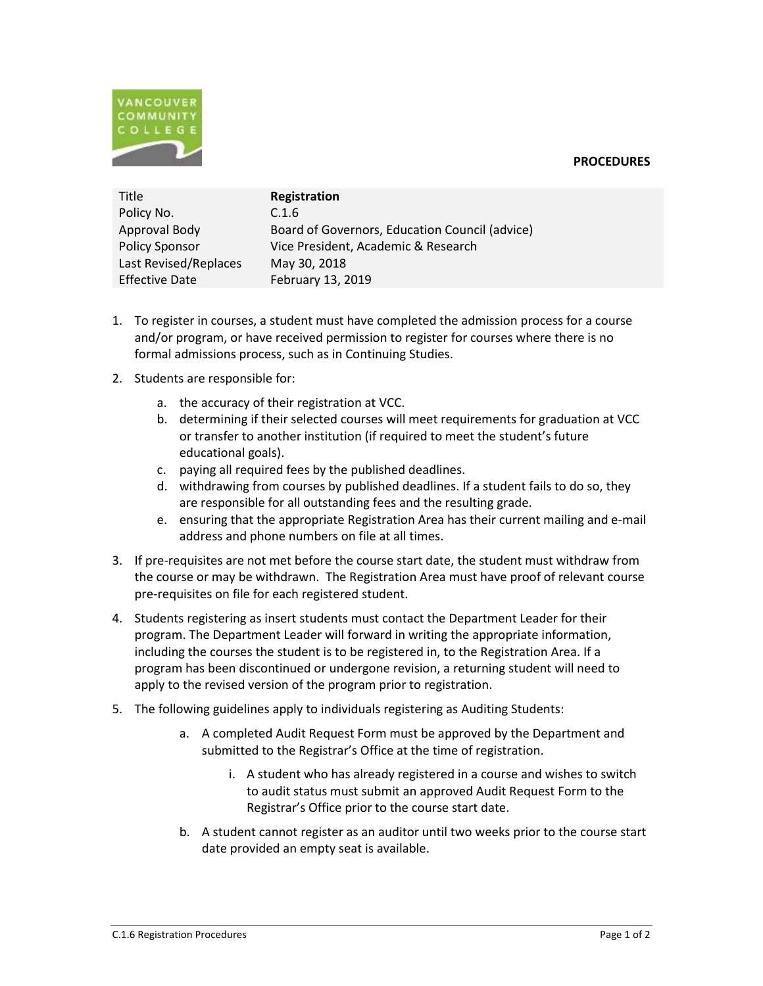



| Title                 | Registration                                   |
|-----------------------|------------------------------------------------|
| Policy No.            | C.1.6                                          |
| Approval Body         | Board of Governors, Education Council (advice) |
| <b>Policy Sponsor</b> | Vice President, Academic & Research            |
| Last Revised/Replaces | May 30, 2018                                   |
| <b>Effective Date</b> | February 13, 2019                              |

- 1. To register in courses, a student must have completed the admission process for a course and/or program, or have received permission to register for courses where there is no formal admissions process, such as in Continuing Studies.
- 2. Students are responsible for:
	- a. the accuracy of their registration at VCC.
	- b. determining if their selected courses will meet requirements for graduation at VCC or transfer to another institution (if required to meet the student's future educational goals).
	- c. paying all required fees by the published deadlines.
	- d. withdrawing from courses by published deadlines. If a student fails to do so, they are responsible for all outstanding fees and the resulting grade.
	- e. ensuring that the appropriate Registration Area has their current mailing and e-mail address and phone numbers on file at all times.
- 3. If pre-requisites are not met before the course start date, the student must withdraw from the course or may be withdrawn. The Registration Area must have proof of relevant course pre-requisites on file for each registered student.
- 4. Students registering as insert students must contact the Department Leader for their program. The Department Leader will forward in writing the appropriate information, including the courses the student is to be registered in, to the Registration Area. If a program has been discontinued or undergone revision, a returning student will need to apply to the revised version of the program prior to registration.
- 5. The following guidelines apply to individuals registering as Auditing Students:
	- a. A completed Audit Request Form must be approved by the Department and submitted to the Registrar's Office at the time of registration.
		- i. A student who has already registered in a course and wishes to switch to audit status must submit an approved Audit Request Form to the Registrar's Office prior to the course start date.
	- b. A student cannot register as an auditor until two weeks prior to the course start date provided an empty seat is available.